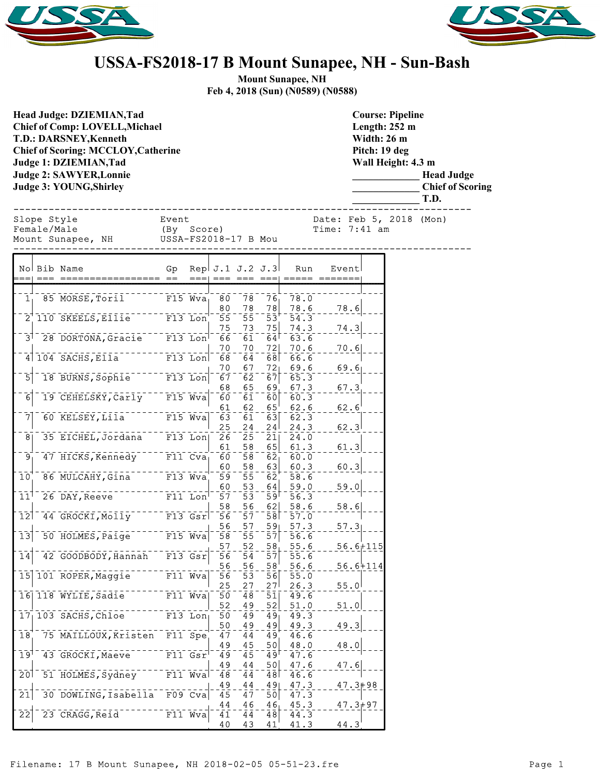



## **USSA-FS2018-17 B Mount Sunapee, NH - Sun-Bash**

**Mount Sunapee, NH Feb 4, 2018 (Sun) (N0589) (N0588)**

| <b>Head Judge: DZIEMIAN, Tad</b><br><b>Chief of Comp: LOVELL, Michael</b><br><b>T.D.: DARSNEY, Kenneth</b><br><b>Chief of Scoring: MCCLOY, Catherine</b><br><b>Judge 1: DZIEMIAN, Tad</b><br><b>Judge 2: SAWYER, Lonnie</b><br>Judge 3: YOUNG, Shirley |             |                                                                        |                     |             |                        |                       |                                         |              |                                 |              | <b>Course: Pipeline</b><br>Length: $252$ m<br>Width: 26 m<br>Pitch: 19 deg<br>Wall Height: 4.3 m | <b>Head Judge</b><br><b>Chief of Scoring</b><br>T.D. |  |
|--------------------------------------------------------------------------------------------------------------------------------------------------------------------------------------------------------------------------------------------------------|-------------|------------------------------------------------------------------------|---------------------|-------------|------------------------|-----------------------|-----------------------------------------|--------------|---------------------------------|--------------|--------------------------------------------------------------------------------------------------|------------------------------------------------------|--|
|                                                                                                                                                                                                                                                        | Slope Style |                                                                        |                     |             |                        |                       |                                         |              | Date: Feb 5, 2018 (Mon)         |              |                                                                                                  |                                                      |  |
|                                                                                                                                                                                                                                                        | Female/Male | Mount Sunapee, NH USSA-FS2018-17 B Mou                                 | Event<br>(By Score) |             |                        |                       |                                         |              | Time: 7:41 am                   |              |                                                                                                  |                                                      |  |
|                                                                                                                                                                                                                                                        |             |                                                                        |                     |             |                        |                       |                                         |              |                                 |              |                                                                                                  |                                                      |  |
|                                                                                                                                                                                                                                                        |             | No Bib Name                                                            |                     |             | Gp Rep $J.1 J.2 J.3$   |                       |                                         | Run          | Event                           |              |                                                                                                  |                                                      |  |
|                                                                                                                                                                                                                                                        |             |                                                                        |                     |             |                        |                       |                                         |              | ===  === === ===  ===== ======= |              |                                                                                                  |                                                      |  |
|                                                                                                                                                                                                                                                        |             | $11$ 85 MORSE, Toril F15 Wva                                           |                     |             | 80                     | 78                    | $76_1$                                  | 78.0         |                                 |              |                                                                                                  |                                                      |  |
|                                                                                                                                                                                                                                                        |             |                                                                        |                     |             | 80                     | $\frac{78}{2}$        | 78                                      | 78.6         | 78.6                            |              |                                                                                                  |                                                      |  |
|                                                                                                                                                                                                                                                        |             | $2^{+}$ 110 SKEELS, Ellie F13 Lon                                      |                     |             | -55<br>75              | $\overline{55}$<br>73 | $\bar{5}\bar{3}^{\dagger}$<br>75        | 54.3<br>74.3 | 74.3                            |              |                                                                                                  |                                                      |  |
|                                                                                                                                                                                                                                                        |             | 3 <sup>1-</sup> 28 DORTONA, Gracie <sup>---</sup> F13 Lon <sup>1</sup> |                     |             | 66                     | $\overline{61}$       | $\overline{6}\overline{4}$ <sup>[</sup> | 63.6         |                                 |              |                                                                                                  |                                                      |  |
|                                                                                                                                                                                                                                                        |             | $4 104$ SACHS, Ella <sup>--------</sup> F13 Lon                        |                     |             | 70                     | 70                    | 72                                      | 70.6         | [70.6]                          |              |                                                                                                  |                                                      |  |
|                                                                                                                                                                                                                                                        |             |                                                                        |                     |             | 68<br>70               | 64<br>67              | 68<br>72 <sub>1</sub>                   | 66.6<br>69.6 | 69.6                            |              |                                                                                                  |                                                      |  |
| $\overline{5}$                                                                                                                                                                                                                                         |             | 18 BURNS, Sophie F13 Lon                                               |                     |             | $\bar{6}\bar{7}^-$     | $\bar{6}\bar{2}$      | $\bar{6}\bar{7}$                        | 65.3         |                                 |              |                                                                                                  |                                                      |  |
| $\overline{6}$                                                                                                                                                                                                                                         |             | 19 CEHELSKY, Carly F15 Wva                                             |                     |             | 68<br>60               | 65<br>$\overline{61}$ | 69<br>60                                | 67.3<br>60.3 | 67.3                            |              |                                                                                                  |                                                      |  |
|                                                                                                                                                                                                                                                        |             |                                                                        |                     |             | 61                     | 62                    | $65^{\circ}$                            | 62.6         | 62.6                            |              |                                                                                                  |                                                      |  |
| 7                                                                                                                                                                                                                                                      |             | 60 KELSEY, Lila <sup>------</sup> F15 Wva                              |                     |             | 63                     | 61                    | 63                                      | 62.3         |                                 |              |                                                                                                  |                                                      |  |
| 8 <sub>1</sub>                                                                                                                                                                                                                                         |             | 35 EICHEL, Jordana <sup>---</sup> F13 Lon                              |                     |             | 25<br>$\overline{26}$  | 24<br>$\overline{25}$ | 24<br>$\overline{21}$                   | 24.3<br>24.0 | 62.3                            |              |                                                                                                  |                                                      |  |
|                                                                                                                                                                                                                                                        |             |                                                                        |                     |             | 61                     | 58                    | 65                                      | 61.3         | 61.3                            |              |                                                                                                  |                                                      |  |
| $\overline{9}$                                                                                                                                                                                                                                         |             | 47 HICKS, Kennedy F11 Cva                                              |                     |             | 60                     | $\overline{58}$       | $\overline{62}$                         | 60.0         |                                 |              |                                                                                                  |                                                      |  |
| 10 <sub>1</sub>                                                                                                                                                                                                                                        |             | 86 MULCAHY, GIna <sup>------</sup> F13 Wva                             |                     |             | 60<br>59               | 58<br>$\overline{55}$ | 63<br>62 <sub>1</sub>                   | 60.3<br>58.6 | 60.3                            |              |                                                                                                  |                                                      |  |
|                                                                                                                                                                                                                                                        |             |                                                                        |                     |             | 60                     | 53                    | 64                                      | 59.0         | [59.0]                          |              |                                                                                                  |                                                      |  |
| 11 <sup>1</sup>                                                                                                                                                                                                                                        |             | 26 DAY, Reeve F11 Lon                                                  |                     |             | $\bar{5}\bar{7}$<br>58 | $\overline{53}$<br>56 | $\bar{5}\bar{9}^{\bar{5}}$<br>62        | 56.3<br>58.6 | 58.6                            |              |                                                                                                  |                                                      |  |
| $\overline{12}$                                                                                                                                                                                                                                        |             | 44 GROCKI, MOLLY F13 GST                                               |                     |             | $\overline{56}$        | $\overline{57}$       | $58+$                                   | 57.0         |                                 |              |                                                                                                  |                                                      |  |
|                                                                                                                                                                                                                                                        |             |                                                                        |                     |             | 56                     | 57                    | $59$ <sub>L</sub>                       | 57.3         | 57.3                            |              |                                                                                                  |                                                      |  |
| $\overline{1}\overline{3}$                                                                                                                                                                                                                             |             | 50 HOLMES, Paige <sup>------</sup> F15 Wva                             |                     |             | 58<br>57               | $\overline{55}$<br>52 | $\overline{57}$<br>$58_1$               | 56.6<br>55.6 |                                 | $56.6 + 115$ |                                                                                                  |                                                      |  |
| 14                                                                                                                                                                                                                                                     |             | 42 GOODBODY, Hannah F13 Gsr                                            |                     |             | 56                     | 54                    | 57                                      | 55.6         |                                 |              |                                                                                                  |                                                      |  |
|                                                                                                                                                                                                                                                        |             | 15 101 ROPER, Maggie                                                   |                     | $F11$ Wva   | 56<br>56               | 56<br>$\overline{53}$ | $\frac{58}{3}$<br>56                    | 56.6<br>55.0 |                                 | $56.6 + 114$ |                                                                                                  |                                                      |  |
|                                                                                                                                                                                                                                                        |             |                                                                        |                     |             | 25                     | 27                    | 27 <sup>1</sup>                         | 26.3         | 55.0                            |              |                                                                                                  |                                                      |  |
|                                                                                                                                                                                                                                                        |             | 16 118 WYLIE, Sadie                                                    |                     | $F11$ Wva   | $\overline{50}$        | $\overline{48}$       | $\overline{51}$                         | 49.6         |                                 |              |                                                                                                  |                                                      |  |
|                                                                                                                                                                                                                                                        |             | $171$ 103 SACHS, Chloe                                                 |                     | $F13$ Lon   | 52<br>50               | 49<br>49              | 52 <br>$49_1$                           | 51.0<br>49.3 | 51.0                            |              |                                                                                                  |                                                      |  |
|                                                                                                                                                                                                                                                        |             |                                                                        |                     |             | 50                     | 49                    | 49                                      | 49.3         | 49.3                            |              |                                                                                                  |                                                      |  |
| $\overline{18}$                                                                                                                                                                                                                                        |             | 75 MAILLOUX, Kristen F11 Spe                                           |                     |             | 47                     | 44                    | 49                                      | 46.6         |                                 |              |                                                                                                  |                                                      |  |
| $\overline{1}9$ <sup>T</sup>                                                                                                                                                                                                                           |             | 43 GROCKI, Maeve                                                       |                     | $F11$ $Gsr$ | 49<br>49               | 45<br>$-45$           | 50<br>$\overline{49}$ <sup>T</sup>      | 48.0<br>47.6 | 48.0                            |              |                                                                                                  |                                                      |  |
|                                                                                                                                                                                                                                                        |             |                                                                        |                     |             | 49                     | 44                    | 50                                      | 47.6         | 47.6                            |              |                                                                                                  |                                                      |  |
| $\overline{20}$                                                                                                                                                                                                                                        |             | 51 HOLMES, Sydney <sup>--</sup>                                        |                     | $F11$ Wva   | 48<br>49               | 44<br>44              | 48<br>49                                | 46.6<br>47.3 | $47.3 + 98$                     |              |                                                                                                  |                                                      |  |
| $\overline{21}$                                                                                                                                                                                                                                        |             | 30 DOWLING, Isabella F09 Cva                                           |                     |             | 45                     | 47                    | 50                                      | 47.3         |                                 |              |                                                                                                  |                                                      |  |
| $\overline{2}\overline{2}$                                                                                                                                                                                                                             |             | 23 CRAGG, Reid                                                         |                     | $F11$ Wva   | 44                     | 46                    | 46 <sub>1</sub>                         | 45.3         | $47.3 + 97$                     |              |                                                                                                  |                                                      |  |
|                                                                                                                                                                                                                                                        |             |                                                                        |                     |             | 41<br>40               | 44<br>43              | 48<br>41'                               | 44.3<br>41.3 | 44.3                            |              |                                                                                                  |                                                      |  |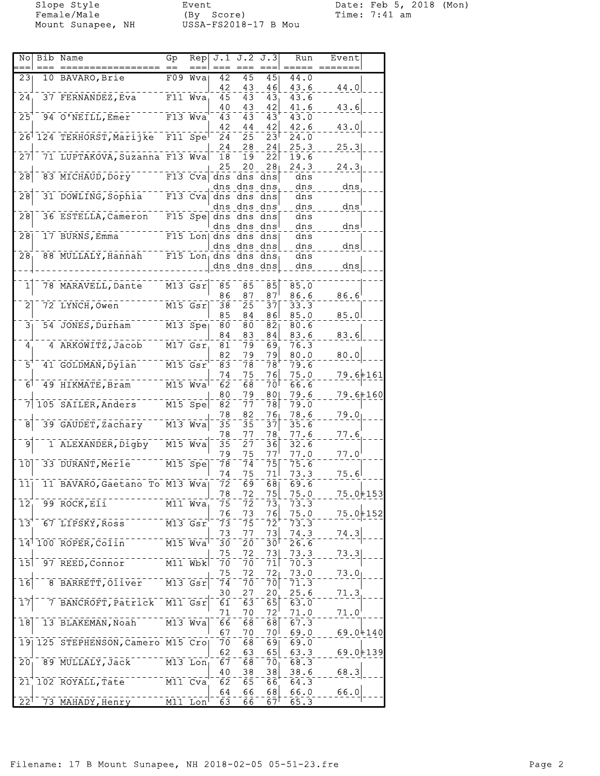Female/Male (By Score) Time: 7:41 am Mount Sunapee, NH USSA-FS2018-17 B Mou

Slope Style **Event** Event Date: Feb 5, 2018 (Mon)

|                              | No Bib Name                       | Gp          | Rep                                |                       | J.1 J.2 J.3            |                          | Run          | Event          |  |
|------------------------------|-----------------------------------|-------------|------------------------------------|-----------------------|------------------------|--------------------------|--------------|----------------|--|
| 231                          | 10 BAVARO, Brie                   |             | $F09$ Wyal                         | 42<br>42              | $\overline{45}$        | 45<br>46                 | 44.0<br>43.6 | 44.0           |  |
| 24                           | 37 FERNANDEZ, Eva                 |             | F11 Wva                            | 45                    | 43<br>43               | 43                       | 43.6         |                |  |
|                              | 94 O'NEILL, Emer                  |             |                                    | 40                    | 43                     | 42                       | 41.6         | 43.6           |  |
| 25                           |                                   |             | $F13$ Wva                          | 43<br>42              | 43<br>44               | $\overline{4}3$<br>42    | 43.0<br>42.6 | 43.0           |  |
|                              | 26 124 TERHORST, Marijke          |             | $F11$ Spe                          | 24                    | 25                     | 23 <sup>1</sup>          | 24.0         |                |  |
| 27                           | 71 LUPTAKOVA, Suzanna F13 Wva     |             |                                    | 24<br>18              | 28<br>19               | 24<br> 22                | 25.3<br>19.6 | 25.3           |  |
|                              |                                   |             |                                    | 25                    | 20                     | 28۱                      | 24.3         | 24.3           |  |
| $\overline{28}$              | 83 MICHAUD, DOry                  |             |                                    | $F13$ Cva dns<br>dns  | dns                    | dns dns<br>dns.          | dns<br>dns   | dns            |  |
| 28                           | 31 DOWLING, Sophia                |             |                                    | $F13$ Cva dns         | dns                    | dns                      | dns          |                |  |
| 28                           | 36 ESTELLA, Cameron               |             | $F15$ Spe                          |                       | dns dns dns<br>dns dns | dns                      | dns<br>dns   | dns            |  |
|                              |                                   |             |                                    |                       | dns dns dns            |                          | dns          | dns            |  |
| 28                           | 17 BURNS, Emma                    |             |                                    | F15 Lon dns dns dns   | dns dns                | dns                      | dns<br>dns   | dns            |  |
| 28                           | 88 MULLALY, Hannah                |             | $F15$ Lon dns                      |                       | dns                    | dns                      | dns          |                |  |
|                              |                                   |             |                                    |                       | dns dns dns            |                          | dns          | dns            |  |
| $\overline{\mathbf{1}}$      | 78 MARAVELL, Dante                |             | M13 Gsr                            | 85                    | $\bar{8}\bar{5}$       | 85                       | 85.0         |                |  |
|                              |                                   |             |                                    | 86                    | 87                     | 87                       | 86.6         | 86.6           |  |
| $\bar{2}$                    | 72 LYNCH, Owen                    |             | $M15$ $Gsr$                        | 38<br>85              | 25<br>84               | 37<br>861                | 33.3<br>85.0 | 85.0           |  |
| 3 <sub>1</sub>               | 54 JONES, Durham                  |             | $M13$ Spe                          | 80                    | 80                     | 82                       | 80.6         |                |  |
| 4                            | 4 ARKOWITZ, Jacob                 |             | M17 Gsr                            | 84<br>81              | 83<br>79               | 84<br>69                 | 83.6<br>76.3 | 83.6           |  |
|                              |                                   |             |                                    | 82                    | 79                     | 79                       | 80.0         | 80.0           |  |
| $\bar{5}$                    | 41 GOLDMAN, Dylan                 | $M15$ $Gsr$ |                                    | 83<br>74              | 78<br>75               | 78<br>761                | 79.6<br>75.0 | 79.6+161       |  |
| 6 <sup>1</sup>               | 49 HIKMATE, Bram                  |             | $M15$ Wva                          | 62                    | 68                     | 7ō⊺                      | 66.6         |                |  |
|                              | 105 SAILER, Anders                |             | $M15$ Spe                          | 80<br>82              | 79<br>77               | 801<br>78                | 79.6<br>79.0 | $79.6 + 160$   |  |
|                              |                                   |             |                                    | 78                    | 82                     | 761                      | 78.6         | 79.0           |  |
|                              | 39 GAUDET, Zachary                |             | $\overline{M13}$ $\overline{W}$ va | 35<br>78              | $\bar{3}\bar{5}$<br>77 | 37<br>78                 | 35.6<br>77.6 |                |  |
| 9                            | 1 ALEXANDER, Digby                |             | $M15$ Wva                          | 35                    | 27                     | 36                       | 32.6         | 77.6           |  |
| 10                           | 33 DURANT, Merle                  |             | $M15$ Spe                          | 79<br>78              | 75<br>74               | 77'<br>75                | 77.0         | $77.0^{\circ}$ |  |
|                              |                                   |             |                                    | 74                    | 75                     | 71I                      | 75.6<br>73.3 | 75.6           |  |
| 111                          | 11 BAVARO, Gaetano To M13 Wva     |             |                                    | 72                    | 69                     | 681                      | 69.6         |                |  |
| 12                           | 99 ROCK, Eli                      |             | M11 Wva                            | 78<br>75              | 72<br>72               | 75<br>73                 | 75.0<br>73.3 | $75.0 + 153$   |  |
|                              |                                   |             |                                    | 76                    | 73                     | 76                       | 75.0         | $75.0 + 152$   |  |
| $\overline{1}3$ <sup>T</sup> | 67 LIPSKY, Ross                   |             | $M13$ $Gsr$                        | $\overline{73}$<br>73 | 75<br>77               | $\bar{7}\bar{2}$<br>73   | 73.3<br>74.3 | 74.3           |  |
|                              | 14 100 ROPER, Colin               |             | $M15$ Wva                          | 30                    | 2ō                     | 30 <sup>1</sup>          | 26.6         |                |  |
| $\overline{15}$              | 97 REED, Connor                   |             | $\overline{M11}$ $\overline{Wb}$ k | 75<br>70              | 72<br>70               | 73 <br>71                | 73.3<br>70.3 | 73.3           |  |
|                              |                                   |             |                                    | 75                    | 72                     | 72                       | 73.0         | 73.0           |  |
| $\overline{16}$              | 8 BARRETT, Oliver                 |             | $M13$ $Gsr$                        | 74<br>30              | 7ō<br>27               | $ \bar{7}\bar{0} $<br>20 | 71.3<br>25.6 | 71.3           |  |
| $\overline{17}$              | 7 BANCROFT, Patrick               |             | M11 Gsr                            | 61                    | 63                     | 65                       | 63.0         |                |  |
| 18                           | 13 BLAKEMAN, Noah                 |             | M13 Wva                            | 71<br>66              | 70<br>68               | 72 <sup>1</sup><br>68    | 71.0<br>67.3 | 71.0           |  |
|                              |                                   |             |                                    | 67                    | 70                     | 70 I                     | 69.0         | $69.0 + 140$   |  |
|                              | 19 125 STEPHENSON, Camero M15 Cro |             |                                    | 70<br>62              | 68                     | 69                       | 69.0         |                |  |
| $\overline{20}$              | 89 MULLALY, Jack                  |             | $M13$ Lon                          | 67                    | 63<br>68               | 65<br>70                 | 63.3<br>68.3 | $69.0 + 139$   |  |
|                              |                                   |             |                                    | 40                    | 38                     | 38                       | 38.6         | 68.3           |  |
|                              | 21 102 ROYALL, Tate               |             | M11 Cva                            | 62<br>64              | 65<br>66               | 66<br>68                 | 64.3<br>66.0 | 66.0           |  |
| $22^1$                       | 73 MAHADY, Henry                  |             | $M11$ Lon                          | 63                    | 66                     | $67^1$                   | 65.3         |                |  |